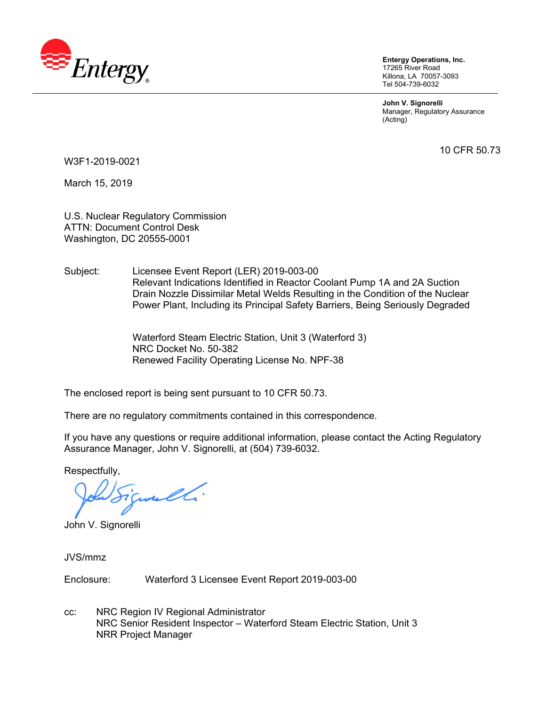

**Entergy Operations, Inc.**  17265 River Road Killona, LA 70057-3093 Tel 504-739-6032

**John V. Signorelli**  Manager, Regulatory Assurance (Acting)

10 CFR 50.73

W3F1-2019-0021

March 15, 2019

U.S. Nuclear Regulatory Commission ATTN: Document Control Desk Washington, DC 20555-0001

Subject: Licensee Event Report (LER) 2019-003-00 Relevant Indications Identified in Reactor Coolant Pump 1A and 2A Suction Drain Nozzle Dissimilar Metal Welds Resulting in the Condition of the Nuclear Power Plant, Including its Principal Safety Barriers, Being Seriously Degraded

> Waterford Steam Electric Station, Unit 3 (Waterford 3) NRC Docket No. 50-382 Renewed Facility Operating License No. NPF-38

The enclosed report is being sent pursuant to 10 CFR 50.73.

There are no regulatory commitments contained in this correspondence.

If you have any questions or require additional information, please contact the Acting Regulatory Assurance Manager, John V. Signorelli, at (504) 739-6032.

Respectfully,

juneli.

John V. Signorelli

JVS/mmz

Enclosure: Waterford 3 Licensee Event Report 2019-003-00

cc: NRC Region IV Regional Administrator NRC Senior Resident Inspector – Waterford Steam Electric Station, Unit 3 NRR Project Manager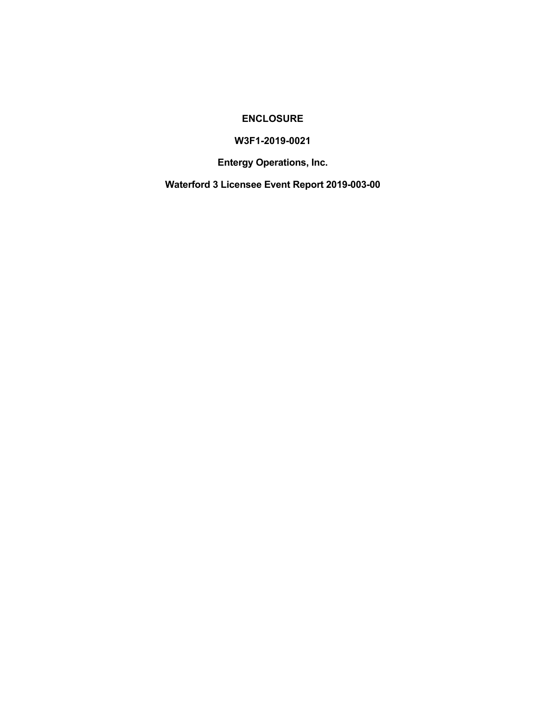## **ENCLOSURE**

## **W3F1-2019-0021**

**Entergy Operations, Inc.** 

**Waterford 3 Licensee Event Report 2019-003-00**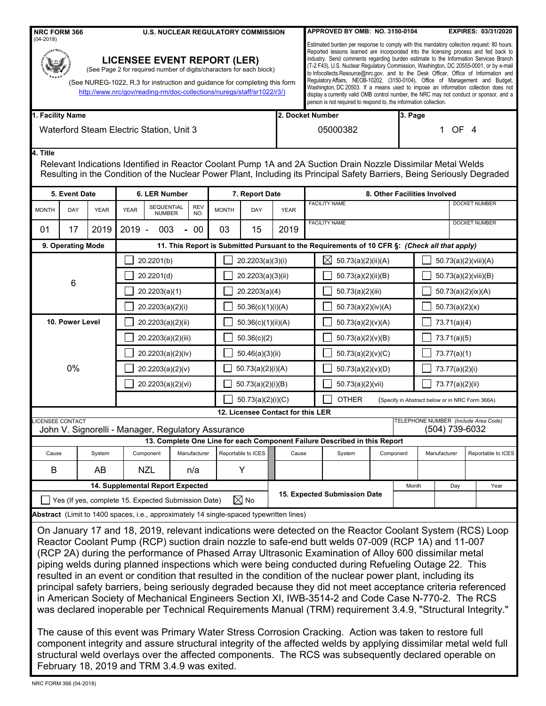| <b>NRC FORM 366</b><br>$(04 - 2018)$                                                                                                                                                                                                                                                                                                                                                                                                                                                                                                                                                                                                                                                                                                                                                                                                                                         |                                                                                                                                                                                                                                                                    | <b>U.S. NUCLEAR REGULATORY COMMISSION</b> |              |                    |                                   |                    | APPROVED BY OMB: NO. 3150-0104                                                                                                                                                                                                                                                                                                                                                                                                                                                                                                                                                                                                                                                                                                                                                                     |           |                |                              | <b>EXPIRES: 03/31/2020</b>           |  |
|------------------------------------------------------------------------------------------------------------------------------------------------------------------------------------------------------------------------------------------------------------------------------------------------------------------------------------------------------------------------------------------------------------------------------------------------------------------------------------------------------------------------------------------------------------------------------------------------------------------------------------------------------------------------------------------------------------------------------------------------------------------------------------------------------------------------------------------------------------------------------|--------------------------------------------------------------------------------------------------------------------------------------------------------------------------------------------------------------------------------------------------------------------|-------------------------------------------|--------------|--------------------|-----------------------------------|--------------------|----------------------------------------------------------------------------------------------------------------------------------------------------------------------------------------------------------------------------------------------------------------------------------------------------------------------------------------------------------------------------------------------------------------------------------------------------------------------------------------------------------------------------------------------------------------------------------------------------------------------------------------------------------------------------------------------------------------------------------------------------------------------------------------------------|-----------|----------------|------------------------------|--------------------------------------|--|
|                                                                                                                                                                                                                                                                                                                                                                                                                                                                                                                                                                                                                                                                                                                                                                                                                                                                              | <b>LICENSEE EVENT REPORT (LER)</b><br>(See Page 2 for required number of digits/characters for each block)<br>(See NUREG-1022, R.3 for instruction and quidance for completing this form<br>http://www.nrc/gov/reading-rm/doc-collections/nuregs/staff/sr1022/r3/) |                                           |              |                    |                                   |                    | Estimated burden per response to comply with this mandatory collection request: 80 hours.<br>Reported lessons learned are incorporated into the licensing process and fed back to<br>industry. Send comments regarding burden estimate to the Information Services Branch<br>(T-2 F43), U.S. Nuclear Regulatory Commission, Washington, DC 20555-0001, or by e-mail<br>to Infocollects.Resource@nrc.gov, and to the Desk Officer, Office of Information and<br>Requlatory Affairs, NEOB-10202, (3150-0104), Office of Management and Budget,<br>Washington, DC 20503. If a means used to impose an information collection does not<br>display a currently valid OMB control number, the NRC may not conduct or sponsor, and a<br>person is not required to respond to, the information collection. |           |                |                              |                                      |  |
| 1. Facility Name                                                                                                                                                                                                                                                                                                                                                                                                                                                                                                                                                                                                                                                                                                                                                                                                                                                             |                                                                                                                                                                                                                                                                    |                                           |              |                    | 2. Docket Number                  |                    |                                                                                                                                                                                                                                                                                                                                                                                                                                                                                                                                                                                                                                                                                                                                                                                                    |           | 3. Page        |                              |                                      |  |
|                                                                                                                                                                                                                                                                                                                                                                                                                                                                                                                                                                                                                                                                                                                                                                                                                                                                              | Waterford Steam Electric Station, Unit 3                                                                                                                                                                                                                           |                                           |              |                    | 05000382                          |                    |                                                                                                                                                                                                                                                                                                                                                                                                                                                                                                                                                                                                                                                                                                                                                                                                    |           | 1 OF 4         |                              |                                      |  |
| 4. Title<br>Relevant Indications Identified in Reactor Coolant Pump 1A and 2A Suction Drain Nozzle Dissimilar Metal Welds<br>Resulting in the Condition of the Nuclear Power Plant, Including its Principal Safety Barriers, Being Seriously Degraded                                                                                                                                                                                                                                                                                                                                                                                                                                                                                                                                                                                                                        |                                                                                                                                                                                                                                                                    |                                           |              |                    |                                   |                    |                                                                                                                                                                                                                                                                                                                                                                                                                                                                                                                                                                                                                                                                                                                                                                                                    |           |                |                              |                                      |  |
| 5. Event Date                                                                                                                                                                                                                                                                                                                                                                                                                                                                                                                                                                                                                                                                                                                                                                                                                                                                | 6. LER Number                                                                                                                                                                                                                                                      |                                           |              | 7. Report Date     |                                   |                    |                                                                                                                                                                                                                                                                                                                                                                                                                                                                                                                                                                                                                                                                                                                                                                                                    |           |                | 8. Other Facilities Involved |                                      |  |
| <b>MONTH</b><br>DAY<br><b>YEAR</b>                                                                                                                                                                                                                                                                                                                                                                                                                                                                                                                                                                                                                                                                                                                                                                                                                                           | SEQUENTIAL<br><b>YEAR</b><br><b>NUMBER</b>                                                                                                                                                                                                                         | <b>REV</b><br>NO.                         | <b>MONTH</b> | DAY                | <b>YEAR</b>                       |                    | <b>FACILITY NAME</b>                                                                                                                                                                                                                                                                                                                                                                                                                                                                                                                                                                                                                                                                                                                                                                               |           |                |                              | <b>DOCKET NUMBER</b>                 |  |
| 2019<br>01<br>17                                                                                                                                                                                                                                                                                                                                                                                                                                                                                                                                                                                                                                                                                                                                                                                                                                                             | $2019 -$<br>003                                                                                                                                                                                                                                                    | 00<br>$\blacksquare$                      | 03           | 15                 | 2019                              |                    | <b>FACILITY NAME</b>                                                                                                                                                                                                                                                                                                                                                                                                                                                                                                                                                                                                                                                                                                                                                                               |           |                |                              | <b>DOCKET NUMBER</b>                 |  |
| 9. Operating Mode                                                                                                                                                                                                                                                                                                                                                                                                                                                                                                                                                                                                                                                                                                                                                                                                                                                            |                                                                                                                                                                                                                                                                    |                                           |              |                    |                                   |                    | 11. This Report is Submitted Pursuant to the Requirements of 10 CFR §: (Check all that apply)                                                                                                                                                                                                                                                                                                                                                                                                                                                                                                                                                                                                                                                                                                      |           |                |                              |                                      |  |
|                                                                                                                                                                                                                                                                                                                                                                                                                                                                                                                                                                                                                                                                                                                                                                                                                                                                              | 20.2201(b)                                                                                                                                                                                                                                                         |                                           |              | 20.2203(a)(3)(i)   |                                   |                    | $\boxtimes$<br>50.73(a)(2)(ii)(A)                                                                                                                                                                                                                                                                                                                                                                                                                                                                                                                                                                                                                                                                                                                                                                  |           |                |                              | 50.73(a)(2)(viii)(A)                 |  |
| 6                                                                                                                                                                                                                                                                                                                                                                                                                                                                                                                                                                                                                                                                                                                                                                                                                                                                            | 20.2201(d)                                                                                                                                                                                                                                                         |                                           |              | 20.2203(a)(3)(ii)  |                                   | 50.73(a)(2)(ii)(B) |                                                                                                                                                                                                                                                                                                                                                                                                                                                                                                                                                                                                                                                                                                                                                                                                    |           |                | 50.73(a)(2)(viii)(B)         |                                      |  |
|                                                                                                                                                                                                                                                                                                                                                                                                                                                                                                                                                                                                                                                                                                                                                                                                                                                                              | 20.2203(a)(1)                                                                                                                                                                                                                                                      |                                           |              | 20.2203(a)(4)      |                                   |                    | 50.73(a)(2)(iii)                                                                                                                                                                                                                                                                                                                                                                                                                                                                                                                                                                                                                                                                                                                                                                                   |           |                | 50.73(a)(2)(ix)(A)           |                                      |  |
|                                                                                                                                                                                                                                                                                                                                                                                                                                                                                                                                                                                                                                                                                                                                                                                                                                                                              | 20.2203(a)(2)(i)                                                                                                                                                                                                                                                   |                                           |              | 50.36(c)(1)(i)(A)  |                                   | 50.73(a)(2)(iv)(A) |                                                                                                                                                                                                                                                                                                                                                                                                                                                                                                                                                                                                                                                                                                                                                                                                    |           | 50.73(a)(2)(x) |                              |                                      |  |
| 10. Power Level                                                                                                                                                                                                                                                                                                                                                                                                                                                                                                                                                                                                                                                                                                                                                                                                                                                              | 20.2203(a)(2)(ii)                                                                                                                                                                                                                                                  |                                           |              | 50.36(c)(1)(ii)(A) |                                   |                    | 50.73(a)(2)(v)(A)                                                                                                                                                                                                                                                                                                                                                                                                                                                                                                                                                                                                                                                                                                                                                                                  |           | 73.71(a)(4)    |                              |                                      |  |
|                                                                                                                                                                                                                                                                                                                                                                                                                                                                                                                                                                                                                                                                                                                                                                                                                                                                              | 20.2203(a)(2)(iii)                                                                                                                                                                                                                                                 |                                           |              | 50.36(c)(2)        |                                   |                    | 50.73(a)(2)(v)(B)                                                                                                                                                                                                                                                                                                                                                                                                                                                                                                                                                                                                                                                                                                                                                                                  |           | 73.71(a)(5)    |                              |                                      |  |
|                                                                                                                                                                                                                                                                                                                                                                                                                                                                                                                                                                                                                                                                                                                                                                                                                                                                              | 20.2203(a)(2)(iv)                                                                                                                                                                                                                                                  |                                           |              | 50.46(a)(3)(ii)    |                                   |                    | 50.73(a)(2)(v)(C)                                                                                                                                                                                                                                                                                                                                                                                                                                                                                                                                                                                                                                                                                                                                                                                  |           |                | 73.77(a)(1)                  |                                      |  |
| 0%                                                                                                                                                                                                                                                                                                                                                                                                                                                                                                                                                                                                                                                                                                                                                                                                                                                                           | 20.2203(a)(2)(v)<br>50.73(a)(2)(i)(A)<br>20.2203(a)(2)(vi)                                                                                                                                                                                                         |                                           |              | 50.73(a)(2)(v)(D)  |                                   |                    | 73.77(a)(2)(i)                                                                                                                                                                                                                                                                                                                                                                                                                                                                                                                                                                                                                                                                                                                                                                                     |           |                |                              |                                      |  |
|                                                                                                                                                                                                                                                                                                                                                                                                                                                                                                                                                                                                                                                                                                                                                                                                                                                                              |                                                                                                                                                                                                                                                                    |                                           |              | 50.73(a)(2)(i)(B)  |                                   |                    | 50.73(a)(2)(vii)                                                                                                                                                                                                                                                                                                                                                                                                                                                                                                                                                                                                                                                                                                                                                                                   |           |                | 73.77(a)(2)(ii)              |                                      |  |
|                                                                                                                                                                                                                                                                                                                                                                                                                                                                                                                                                                                                                                                                                                                                                                                                                                                                              |                                                                                                                                                                                                                                                                    |                                           |              | 50.73(a)(2)(i)(C)  |                                   |                    | <b>OTHER</b><br>(Specify in Abstract below or in NRC Form 366A)                                                                                                                                                                                                                                                                                                                                                                                                                                                                                                                                                                                                                                                                                                                                    |           |                |                              |                                      |  |
| <b>ICENSEE CONTACT</b>                                                                                                                                                                                                                                                                                                                                                                                                                                                                                                                                                                                                                                                                                                                                                                                                                                                       |                                                                                                                                                                                                                                                                    |                                           |              |                    | 12. Licensee Contact for this LER |                    |                                                                                                                                                                                                                                                                                                                                                                                                                                                                                                                                                                                                                                                                                                                                                                                                    |           |                |                              | TELEPHONE NUMBER (Include Area Code) |  |
| John V. Signorelli - Manager, Regulatory Assurance                                                                                                                                                                                                                                                                                                                                                                                                                                                                                                                                                                                                                                                                                                                                                                                                                           |                                                                                                                                                                                                                                                                    |                                           |              |                    |                                   |                    |                                                                                                                                                                                                                                                                                                                                                                                                                                                                                                                                                                                                                                                                                                                                                                                                    |           |                | (504) 739-6032               |                                      |  |
|                                                                                                                                                                                                                                                                                                                                                                                                                                                                                                                                                                                                                                                                                                                                                                                                                                                                              |                                                                                                                                                                                                                                                                    |                                           |              |                    |                                   |                    | 13. Complete One Line for each Component Failure Described in this Report                                                                                                                                                                                                                                                                                                                                                                                                                                                                                                                                                                                                                                                                                                                          |           |                |                              |                                      |  |
| System<br>Cause                                                                                                                                                                                                                                                                                                                                                                                                                                                                                                                                                                                                                                                                                                                                                                                                                                                              | Component                                                                                                                                                                                                                                                          | Manufacturer                              |              | Reportable to ICES | Cause                             |                    | System                                                                                                                                                                                                                                                                                                                                                                                                                                                                                                                                                                                                                                                                                                                                                                                             | Component |                | Manufacturer                 | Reportable to ICES                   |  |
| B<br>AB                                                                                                                                                                                                                                                                                                                                                                                                                                                                                                                                                                                                                                                                                                                                                                                                                                                                      | <b>NZL</b>                                                                                                                                                                                                                                                         | n/a                                       |              | Y                  |                                   |                    |                                                                                                                                                                                                                                                                                                                                                                                                                                                                                                                                                                                                                                                                                                                                                                                                    |           |                |                              |                                      |  |
|                                                                                                                                                                                                                                                                                                                                                                                                                                                                                                                                                                                                                                                                                                                                                                                                                                                                              | 14. Supplemental Report Expected                                                                                                                                                                                                                                   |                                           |              |                    |                                   |                    | 15. Expected Submission Date                                                                                                                                                                                                                                                                                                                                                                                                                                                                                                                                                                                                                                                                                                                                                                       |           | Month          | Day                          | Year                                 |  |
| Yes (If yes, complete 15. Expected Submission Date)                                                                                                                                                                                                                                                                                                                                                                                                                                                                                                                                                                                                                                                                                                                                                                                                                          |                                                                                                                                                                                                                                                                    |                                           |              | $\boxtimes$ No     |                                   |                    |                                                                                                                                                                                                                                                                                                                                                                                                                                                                                                                                                                                                                                                                                                                                                                                                    |           |                |                              |                                      |  |
| Abstract (Limit to 1400 spaces, i.e., approximately 14 single-spaced typewritten lines)                                                                                                                                                                                                                                                                                                                                                                                                                                                                                                                                                                                                                                                                                                                                                                                      |                                                                                                                                                                                                                                                                    |                                           |              |                    |                                   |                    |                                                                                                                                                                                                                                                                                                                                                                                                                                                                                                                                                                                                                                                                                                                                                                                                    |           |                |                              |                                      |  |
| On January 17 and 18, 2019, relevant indications were detected on the Reactor Coolant System (RCS) Loop<br>Reactor Coolant Pump (RCP) suction drain nozzle to safe-end butt welds 07-009 (RCP 1A) and 11-007<br>(RCP 2A) during the performance of Phased Array Ultrasonic Examination of Alloy 600 dissimilar metal<br>piping welds during planned inspections which were being conducted during Refueling Outage 22. This<br>resulted in an event or condition that resulted in the condition of the nuclear power plant, including its<br>principal safety barriers, being seriously degraded because they did not meet acceptance criteria referenced<br>in American Society of Mechanical Engineers Section XI, IWB-3514-2 and Code Case N-770-2. The RCS<br>was declared inoperable per Technical Requirements Manual (TRM) requirement 3.4.9, "Structural Integrity." |                                                                                                                                                                                                                                                                    |                                           |              |                    |                                   |                    |                                                                                                                                                                                                                                                                                                                                                                                                                                                                                                                                                                                                                                                                                                                                                                                                    |           |                |                              |                                      |  |
| The cause of this event was Primary Water Stress Corrosion Cracking. Action was taken to restore full<br>component integrity and assure structural integrity of the affected welds by applying dissimilar metal weld full<br>structural weld overlays over the affected components. The RCS was subsequently declared operable on<br>February 18, 2019 and TRM 3.4.9 was exited.                                                                                                                                                                                                                                                                                                                                                                                                                                                                                             |                                                                                                                                                                                                                                                                    |                                           |              |                    |                                   |                    |                                                                                                                                                                                                                                                                                                                                                                                                                                                                                                                                                                                                                                                                                                                                                                                                    |           |                |                              |                                      |  |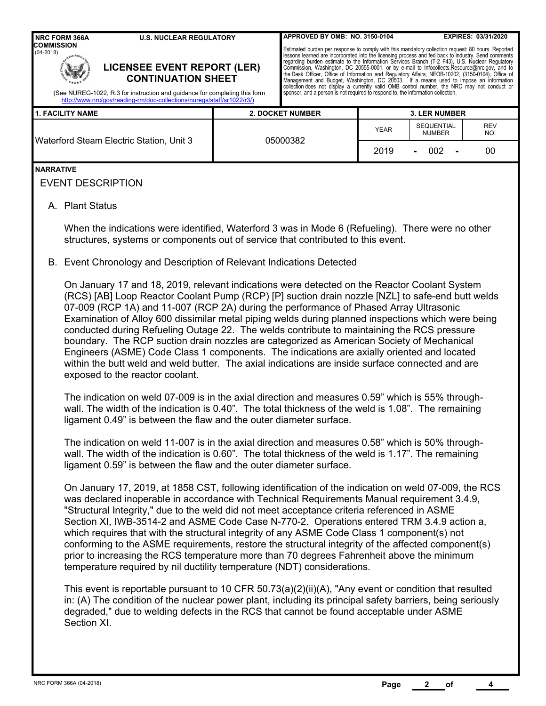|                                                                                                                                                                                                                                                               | <b>NRC FORM 366A</b><br><b>U.S. NUCLEAR REGULATORY</b>                                                                                                                                                                                                                                                                                                                                                                                                                                                                                                                                                                                                                                                                                                                                                                                                                                                                                                                                                                                                                                                                                                                                                                                                                                                                                                                                              | APPROVED BY OMB: NO. 3150-0104                                                                                                                                                                                                                                                                                                                                                                                                                                                                                                                                                                                                                                                                                                                                                                   |                      |                                    | EXPIRES: 03/31/2020 |  |  |
|---------------------------------------------------------------------------------------------------------------------------------------------------------------------------------------------------------------------------------------------------------------|-----------------------------------------------------------------------------------------------------------------------------------------------------------------------------------------------------------------------------------------------------------------------------------------------------------------------------------------------------------------------------------------------------------------------------------------------------------------------------------------------------------------------------------------------------------------------------------------------------------------------------------------------------------------------------------------------------------------------------------------------------------------------------------------------------------------------------------------------------------------------------------------------------------------------------------------------------------------------------------------------------------------------------------------------------------------------------------------------------------------------------------------------------------------------------------------------------------------------------------------------------------------------------------------------------------------------------------------------------------------------------------------------------|--------------------------------------------------------------------------------------------------------------------------------------------------------------------------------------------------------------------------------------------------------------------------------------------------------------------------------------------------------------------------------------------------------------------------------------------------------------------------------------------------------------------------------------------------------------------------------------------------------------------------------------------------------------------------------------------------------------------------------------------------------------------------------------------------|----------------------|------------------------------------|---------------------|--|--|
| <b>COMMISSION</b><br>$(04 - 2018)$<br><b>LICENSEE EVENT REPORT (LER)</b><br><b>CONTINUATION SHEET</b><br>(See NUREG-1022, R.3 for instruction and guidance for completing this form<br>http://www.nrc/gov/reading-rm/doc-collections/nuregs/staff/sr1022/r3/) |                                                                                                                                                                                                                                                                                                                                                                                                                                                                                                                                                                                                                                                                                                                                                                                                                                                                                                                                                                                                                                                                                                                                                                                                                                                                                                                                                                                                     | Estimated burden per response to comply with this mandatory collection request: 80 hours. Reported<br>lessons learned are incorporated into the licensing process and fed back to industry. Send comments<br>regarding burden estimate to the Information Services Branch (T-2 F43), U.S. Nuclear Regulatory<br>Commission, Washington, DC 20555-0001, or by e-mail to Infocollects. Resource@nrc.gov, and to<br>the Desk Officer, Office of Information and Regulatory Affairs, NEOB-10202, (3150-0104), Office of<br>Management and Budget, Washington, DC 20503. If a means used to impose an information<br>collection does not display a currently valid OMB control number, the NRC may not conduct or<br>sponsor, and a person is not required to respond to, the information collection. |                      |                                    |                     |  |  |
|                                                                                                                                                                                                                                                               | <b>1. FACILITY NAME</b>                                                                                                                                                                                                                                                                                                                                                                                                                                                                                                                                                                                                                                                                                                                                                                                                                                                                                                                                                                                                                                                                                                                                                                                                                                                                                                                                                                             | <b>2. DOCKET NUMBER</b>                                                                                                                                                                                                                                                                                                                                                                                                                                                                                                                                                                                                                                                                                                                                                                          | <b>3. LER NUMBER</b> |                                    |                     |  |  |
| Waterford Steam Electric Station, Unit 3                                                                                                                                                                                                                      |                                                                                                                                                                                                                                                                                                                                                                                                                                                                                                                                                                                                                                                                                                                                                                                                                                                                                                                                                                                                                                                                                                                                                                                                                                                                                                                                                                                                     | 05000382                                                                                                                                                                                                                                                                                                                                                                                                                                                                                                                                                                                                                                                                                                                                                                                         | <b>YEAR</b><br>2019  | SEQUENTIAL<br><b>NUMBER</b><br>002 | REV<br>NO.<br>00    |  |  |
| <b>NARRATIVE</b>                                                                                                                                                                                                                                              | <b>EVENT DESCRIPTION</b>                                                                                                                                                                                                                                                                                                                                                                                                                                                                                                                                                                                                                                                                                                                                                                                                                                                                                                                                                                                                                                                                                                                                                                                                                                                                                                                                                                            |                                                                                                                                                                                                                                                                                                                                                                                                                                                                                                                                                                                                                                                                                                                                                                                                  |                      |                                    |                     |  |  |
|                                                                                                                                                                                                                                                               | A. Plant Status                                                                                                                                                                                                                                                                                                                                                                                                                                                                                                                                                                                                                                                                                                                                                                                                                                                                                                                                                                                                                                                                                                                                                                                                                                                                                                                                                                                     |                                                                                                                                                                                                                                                                                                                                                                                                                                                                                                                                                                                                                                                                                                                                                                                                  |                      |                                    |                     |  |  |
|                                                                                                                                                                                                                                                               | When the indications were identified, Waterford 3 was in Mode 6 (Refueling). There were no other<br>structures, systems or components out of service that contributed to this event.                                                                                                                                                                                                                                                                                                                                                                                                                                                                                                                                                                                                                                                                                                                                                                                                                                                                                                                                                                                                                                                                                                                                                                                                                |                                                                                                                                                                                                                                                                                                                                                                                                                                                                                                                                                                                                                                                                                                                                                                                                  |                      |                                    |                     |  |  |
|                                                                                                                                                                                                                                                               | B. Event Chronology and Description of Relevant Indications Detected<br>On January 17 and 18, 2019, relevant indications were detected on the Reactor Coolant System<br>(RCS) [AB] Loop Reactor Coolant Pump (RCP) [P] suction drain nozzle [NZL] to safe-end butt welds<br>07-009 (RCP 1A) and 11-007 (RCP 2A) during the performance of Phased Array Ultrasonic<br>Examination of Alloy 600 dissimilar metal piping welds during planned inspections which were being<br>conducted during Refueling Outage 22. The welds contribute to maintaining the RCS pressure<br>boundary. The RCP suction drain nozzles are categorized as American Society of Mechanical<br>Engineers (ASME) Code Class 1 components. The indications are axially oriented and located<br>within the butt weld and weld butter. The axial indications are inside surface connected and are<br>exposed to the reactor coolant.<br>The indication on weld 07-009 is in the axial direction and measures 0.59" which is 55% through-<br>wall. The width of the indication is 0.40". The total thickness of the weld is 1.08". The remaining<br>ligament 0.49" is between the flaw and the outer diameter surface.<br>The indication on weld 11-007 is in the axial direction and measures 0.58" which is 50% through-<br>wall. The width of the indication is 0.60". The total thickness of the weld is 1.17". The remaining |                                                                                                                                                                                                                                                                                                                                                                                                                                                                                                                                                                                                                                                                                                                                                                                                  |                      |                                    |                     |  |  |
|                                                                                                                                                                                                                                                               | ligament 0.59" is between the flaw and the outer diameter surface.<br>On January 17, 2019, at 1858 CST, following identification of the indication on weld 07-009, the RCS<br>was declared inoperable in accordance with Technical Requirements Manual requirement 3.4.9,<br>"Structural Integrity," due to the weld did not meet acceptance criteria referenced in ASME<br>Section XI, IWB-3514-2 and ASME Code Case N-770-2. Operations entered TRM 3.4.9 action a,<br>which requires that with the structural integrity of any ASME Code Class 1 component(s) not<br>conforming to the ASME requirements, restore the structural integrity of the affected component(s)<br>prior to increasing the RCS temperature more than 70 degrees Fahrenheit above the minimum<br>temperature required by nil ductility temperature (NDT) considerations.<br>This event is reportable pursuant to 10 CFR $50.73(a)(2)(ii)(A)$ , "Any event or condition that resulted<br>in: (A) The condition of the nuclear power plant, including its principal safety barriers, being seriously<br>degraded," due to welding defects in the RCS that cannot be found acceptable under ASME<br>Section XI.                                                                                                                                                                                                              |                                                                                                                                                                                                                                                                                                                                                                                                                                                                                                                                                                                                                                                                                                                                                                                                  |                      |                                    |                     |  |  |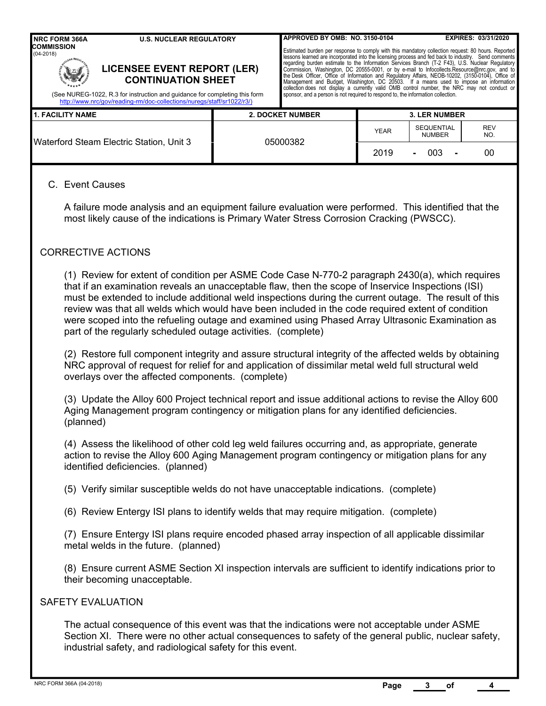| <b>NRC FORM 366A</b>                                                                                                                                                                                                                                               | <b>U.S. NUCLEAR REGULATORY</b>                                                                                                                                                                                                                                                                                                                                                                                                                                                                                                                                                                                                                                                                                                                                                                             |                                                                                                                                                                                                                                                                                                                                                                                                                                                                                                                                                                                                                                                                                                                                                                                                                                                                                                                                                                                                                            | APPROVED BY OMB: NO. 3150-0104 |              |                                           | EXPIRES: 03/31/2020 |  |  |
|--------------------------------------------------------------------------------------------------------------------------------------------------------------------------------------------------------------------------------------------------------------------|------------------------------------------------------------------------------------------------------------------------------------------------------------------------------------------------------------------------------------------------------------------------------------------------------------------------------------------------------------------------------------------------------------------------------------------------------------------------------------------------------------------------------------------------------------------------------------------------------------------------------------------------------------------------------------------------------------------------------------------------------------------------------------------------------------|----------------------------------------------------------------------------------------------------------------------------------------------------------------------------------------------------------------------------------------------------------------------------------------------------------------------------------------------------------------------------------------------------------------------------------------------------------------------------------------------------------------------------------------------------------------------------------------------------------------------------------------------------------------------------------------------------------------------------------------------------------------------------------------------------------------------------------------------------------------------------------------------------------------------------------------------------------------------------------------------------------------------------|--------------------------------|--------------|-------------------------------------------|---------------------|--|--|
| <b>COMMISSION</b><br>$(04 - 2018)$                                                                                                                                                                                                                                 |                                                                                                                                                                                                                                                                                                                                                                                                                                                                                                                                                                                                                                                                                                                                                                                                            | Estimated burden per response to comply with this mandatory collection request: 80 hours. Reported<br>lessons learned are incorporated into the licensing process and fed back to industry. Send comments<br>regarding burden estimate to the Information Services Branch (T-2 F43), U.S. Nuclear Regulatory<br><b>LICENSEE EVENT REPORT (LER)</b><br>Commission, Washington, DC 20555-0001, or by e-mail to Infocollects.Resource@nrc.gov, and to<br>the Desk Officer, Office of Information and Regulatory Affairs, NEOB-10202, (3150-0104), Office of<br>Management and Budget, Washington, DC 20503. If a means used to impose an information<br><b>CONTINUATION SHEET</b><br>collection does not display a currently valid OMB control number, the NRC may not conduct or<br>sponsor, and a person is not required to respond to, the information collection.<br>(See NUREG-1022, R.3 for instruction and guidance for completing this form<br>http://www.nrc/gov/reading-rm/doc-collections/nuregs/staff/sr1022/r3/) |                                |              |                                           |                     |  |  |
| <b>1. FACILITY NAME</b>                                                                                                                                                                                                                                            | <b>2. DOCKET NUMBER</b><br><b>3. LER NUMBER</b>                                                                                                                                                                                                                                                                                                                                                                                                                                                                                                                                                                                                                                                                                                                                                            |                                                                                                                                                                                                                                                                                                                                                                                                                                                                                                                                                                                                                                                                                                                                                                                                                                                                                                                                                                                                                            |                                |              |                                           |                     |  |  |
|                                                                                                                                                                                                                                                                    | Waterford Steam Electric Station, Unit 3                                                                                                                                                                                                                                                                                                                                                                                                                                                                                                                                                                                                                                                                                                                                                                   |                                                                                                                                                                                                                                                                                                                                                                                                                                                                                                                                                                                                                                                                                                                                                                                                                                                                                                                                                                                                                            | 05000382                       | YEAR<br>2019 | <b>SEQUENTIAL</b><br><b>NUMBER</b><br>003 | REV<br>NO.<br>00    |  |  |
| C. Event Causes                                                                                                                                                                                                                                                    | A failure mode analysis and an equipment failure evaluation were performed. This identified that the<br>most likely cause of the indications is Primary Water Stress Corrosion Cracking (PWSCC).                                                                                                                                                                                                                                                                                                                                                                                                                                                                                                                                                                                                           |                                                                                                                                                                                                                                                                                                                                                                                                                                                                                                                                                                                                                                                                                                                                                                                                                                                                                                                                                                                                                            |                                |              |                                           |                     |  |  |
|                                                                                                                                                                                                                                                                    | <b>CORRECTIVE ACTIONS</b>                                                                                                                                                                                                                                                                                                                                                                                                                                                                                                                                                                                                                                                                                                                                                                                  |                                                                                                                                                                                                                                                                                                                                                                                                                                                                                                                                                                                                                                                                                                                                                                                                                                                                                                                                                                                                                            |                                |              |                                           |                     |  |  |
|                                                                                                                                                                                                                                                                    | (1) Review for extent of condition per ASME Code Case N-770-2 paragraph 2430(a), which requires<br>that if an examination reveals an unacceptable flaw, then the scope of Inservice Inspections (ISI)<br>must be extended to include additional weld inspections during the current outage. The result of this<br>review was that all welds which would have been included in the code required extent of condition<br>were scoped into the refueling outage and examined using Phased Array Ultrasonic Examination as<br>part of the regularly scheduled outage activities. (complete)<br>(2) Restore full component integrity and assure structural integrity of the affected welds by obtaining<br>NRC approval of request for relief for and application of dissimilar metal weld full structural weld |                                                                                                                                                                                                                                                                                                                                                                                                                                                                                                                                                                                                                                                                                                                                                                                                                                                                                                                                                                                                                            |                                |              |                                           |                     |  |  |
|                                                                                                                                                                                                                                                                    | overlays over the affected components. (complete)                                                                                                                                                                                                                                                                                                                                                                                                                                                                                                                                                                                                                                                                                                                                                          |                                                                                                                                                                                                                                                                                                                                                                                                                                                                                                                                                                                                                                                                                                                                                                                                                                                                                                                                                                                                                            |                                |              |                                           |                     |  |  |
|                                                                                                                                                                                                                                                                    | (3) Update the Alloy 600 Project technical report and issue additional actions to revise the Alloy 600<br>Aging Management program contingency or mitigation plans for any identified deficiencies.<br>(planned)                                                                                                                                                                                                                                                                                                                                                                                                                                                                                                                                                                                           |                                                                                                                                                                                                                                                                                                                                                                                                                                                                                                                                                                                                                                                                                                                                                                                                                                                                                                                                                                                                                            |                                |              |                                           |                     |  |  |
|                                                                                                                                                                                                                                                                    | (4) Assess the likelihood of other cold leg weld failures occurring and, as appropriate, generate<br>action to revise the Alloy 600 Aging Management program contingency or mitigation plans for any<br>identified deficiencies. (planned)                                                                                                                                                                                                                                                                                                                                                                                                                                                                                                                                                                 |                                                                                                                                                                                                                                                                                                                                                                                                                                                                                                                                                                                                                                                                                                                                                                                                                                                                                                                                                                                                                            |                                |              |                                           |                     |  |  |
|                                                                                                                                                                                                                                                                    | (5) Verify similar susceptible welds do not have unacceptable indications. (complete)                                                                                                                                                                                                                                                                                                                                                                                                                                                                                                                                                                                                                                                                                                                      |                                                                                                                                                                                                                                                                                                                                                                                                                                                                                                                                                                                                                                                                                                                                                                                                                                                                                                                                                                                                                            |                                |              |                                           |                     |  |  |
|                                                                                                                                                                                                                                                                    | (6) Review Entergy ISI plans to identify welds that may require mitigation. (complete)                                                                                                                                                                                                                                                                                                                                                                                                                                                                                                                                                                                                                                                                                                                     |                                                                                                                                                                                                                                                                                                                                                                                                                                                                                                                                                                                                                                                                                                                                                                                                                                                                                                                                                                                                                            |                                |              |                                           |                     |  |  |
|                                                                                                                                                                                                                                                                    | (7) Ensure Entergy ISI plans require encoded phased array inspection of all applicable dissimilar<br>metal welds in the future. (planned)                                                                                                                                                                                                                                                                                                                                                                                                                                                                                                                                                                                                                                                                  |                                                                                                                                                                                                                                                                                                                                                                                                                                                                                                                                                                                                                                                                                                                                                                                                                                                                                                                                                                                                                            |                                |              |                                           |                     |  |  |
|                                                                                                                                                                                                                                                                    | (8) Ensure current ASME Section XI inspection intervals are sufficient to identify indications prior to<br>their becoming unacceptable.                                                                                                                                                                                                                                                                                                                                                                                                                                                                                                                                                                                                                                                                    |                                                                                                                                                                                                                                                                                                                                                                                                                                                                                                                                                                                                                                                                                                                                                                                                                                                                                                                                                                                                                            |                                |              |                                           |                     |  |  |
| <b>SAFETY EVALUATION</b>                                                                                                                                                                                                                                           |                                                                                                                                                                                                                                                                                                                                                                                                                                                                                                                                                                                                                                                                                                                                                                                                            |                                                                                                                                                                                                                                                                                                                                                                                                                                                                                                                                                                                                                                                                                                                                                                                                                                                                                                                                                                                                                            |                                |              |                                           |                     |  |  |
| The actual consequence of this event was that the indications were not acceptable under ASME<br>Section XI. There were no other actual consequences to safety of the general public, nuclear safety,<br>industrial safety, and radiological safety for this event. |                                                                                                                                                                                                                                                                                                                                                                                                                                                                                                                                                                                                                                                                                                                                                                                                            |                                                                                                                                                                                                                                                                                                                                                                                                                                                                                                                                                                                                                                                                                                                                                                                                                                                                                                                                                                                                                            |                                |              |                                           |                     |  |  |